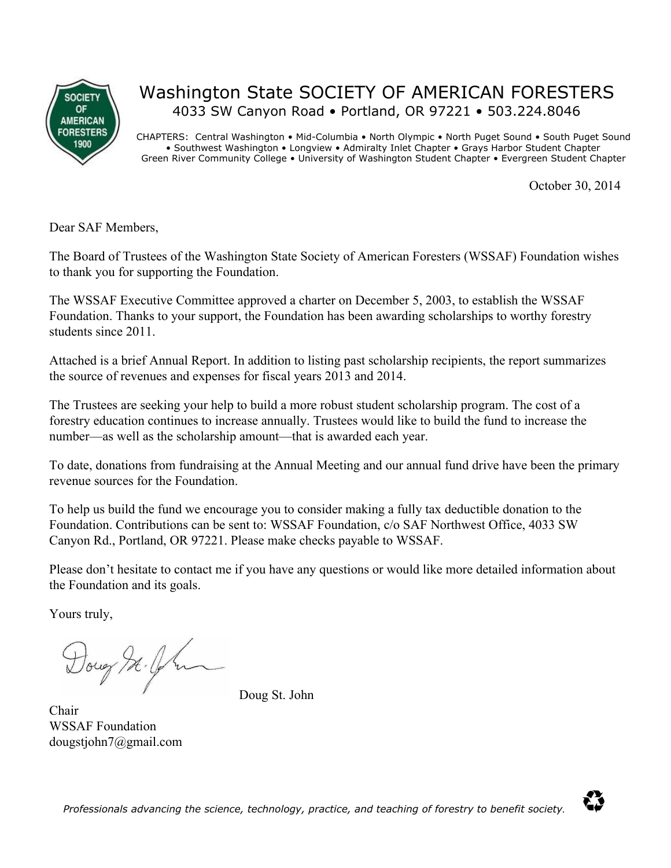

## Washington State SOCIETY OF AMERICAN FORESTERS 4033 SW Canyon Road • Portland, OR 97221 • 503.224.8046

CHAPTERS: Central Washington • Mid-Columbia • North Olympic • North Puget Sound • South Puget Sound • Southwest Washington • Longview • Admiralty Inlet Chapter • Grays Harbor Student Chapter Green River Community College • University of Washington Student Chapter • Evergreen Student Chapter

October 30, 2014

Dear SAF Members,

The Board of Trustees of the Washington State Society of American Foresters (WSSAF) Foundation wishes to thank you for supporting the Foundation.

The WSSAF Executive Committee approved a charter on December 5, 2003, to establish the WSSAF Foundation. Thanks to your support, the Foundation has been awarding scholarships to worthy forestry students since 2011.

Attached is a brief Annual Report. In addition to listing past scholarship recipients, the report summarizes the source of revenues and expenses for fiscal years 2013 and 2014.

The Trustees are seeking your help to build a more robust student scholarship program. The cost of a forestry education continues to increase annually. Trustees would like to build the fund to increase the number—as well as the scholarship amount—that is awarded each year.

To date, donations from fundraising at the Annual Meeting and our annual fund drive have been the primary revenue sources for the Foundation.

To help us build the fund we encourage you to consider making a fully tax deductible donation to the Foundation. Contributions can be sent to: WSSAF Foundation, c/o SAF Northwest Office, 4033 SW Canyon Rd., Portland, OR 97221. Please make checks payable to WSSAF.

Please don't hesitate to contact me if you have any questions or would like more detailed information about the Foundation and its goals.

Yours truly,

Doug It. Of m

Doug St. John

Chair WSSAF Foundation dougstjohn7@gmail.com